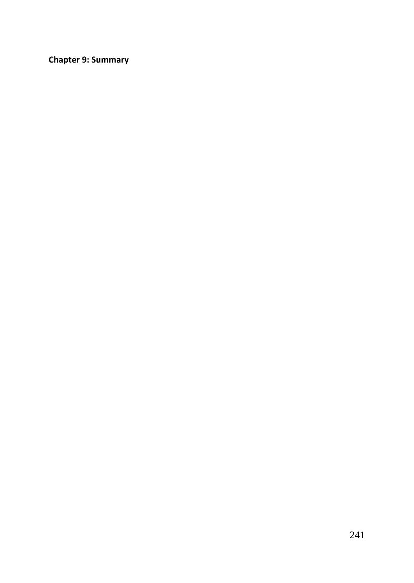**Chapter 9: Summary**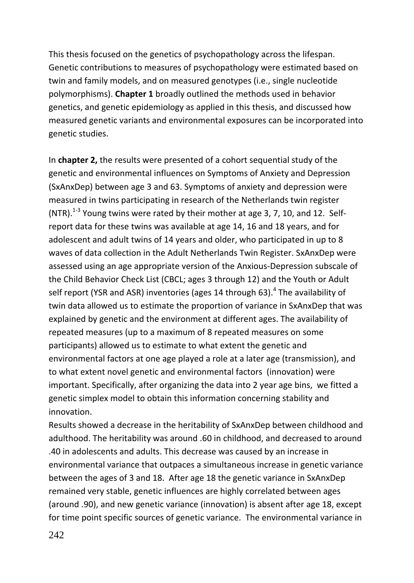This thesis focused on the genetics of psychopathology across the lifespan. Genetic contributions to measures of psychopathology were estimated based on twin and family models, and on measured genotypes (i.e., single nucleotide polymorphisms). **Chapter 1** broadly outlined the methods used in behavior genetics, and genetic epidemiology as applied in this thesis, and discussed how measured genetic variants and environmental exposures can be incorporated into genetic studies.

In **chapter 2,** the results were presented of a cohort sequential study of the genetic and environmental influences on Symptoms of Anxiety and Depression (SxAnxDep) between age 3 and 63. Symptoms of anxiety and depression were measured in twins participating in research of the Netherlands twin register (NTR).<sup>1-3</sup> Young twins were rated by their mother at age 3, 7, 10, and 12. Selfreport data for these twins was available at age 14, 16 and 18 years, and for adolescent and adult twins of 14 years and older, who participated in up to 8 waves of data collection in the Adult Netherlands Twin Register. SxAnxDep were assessed using an age appropriate version of the Anxious-Depression subscale of the Child Behavior Check List (CBCL; ages 3 through 12) and the Youth or Adult self report (YSR and ASR) inventories (ages 14 through 63). $^4$  The availability of twin data allowed us to estimate the proportion of variance in SxAnxDep that was explained by genetic and the environment at different ages. The availability of repeated measures (up to a maximum of 8 repeated measures on some participants) allowed us to estimate to what extent the genetic and environmental factors at one age played a role at a later age (transmission), and to what extent novel genetic and environmental factors (innovation) were important. Specifically, after organizing the data into 2 year age bins, we fitted a genetic simplex model to obtain this information concerning stability and innovation.

Results showed a decrease in the heritability of SxAnxDep between childhood and adulthood. The heritability was around .60 in childhood, and decreased to around .40 in adolescents and adults. This decrease was caused by an increase in environmental variance that outpaces a simultaneous increase in genetic variance between the ages of 3 and 18. After age 18 the genetic variance in SxAnxDep remained very stable, genetic influences are highly correlated between ages (around .90), and new genetic variance (innovation) is absent after age 18, except for time point specific sources of genetic variance. The environmental variance in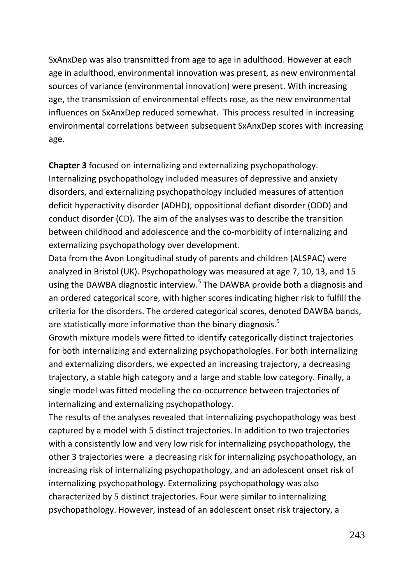SxAnxDep was also transmitted from age to age in adulthood. However at each age in adulthood, environmental innovation was present, as new environmental sources of variance (environmental innovation) were present. With increasing age, the transmission of environmental effects rose, as the new environmental influences on SxAnxDep reduced somewhat. This process resulted in increasing environmental correlations between subsequent SxAnxDep scores with increasing age.

**Chapter 3** focused on internalizing and externalizing psychopathology. Internalizing psychopathology included measures of depressive and anxiety disorders, and externalizing psychopathology included measures of attention deficit hyperactivity disorder (ADHD), oppositional defiant disorder (ODD) and conduct disorder (CD). The aim of the analyses was to describe the transition between childhood and adolescence and the co-morbidity of internalizing and externalizing psychopathology over development.

Data from the Avon Longitudinal study of parents and children (ALSPAC) were analyzed in Bristol (UK). Psychopathology was measured at age 7, 10, 13, and 15 using the DAWBA diagnostic interview.<sup>5</sup> The DAWBA provide both a diagnosis and an ordered categorical score, with higher scores indicating higher risk to fulfill the criteria for the disorders. The ordered categorical scores, denoted DAWBA bands, are statistically more informative than the binary diagnosis.<sup>5</sup>

Growth mixture models were fitted to identify categorically distinct trajectories for both internalizing and externalizing psychopathologies. For both internalizing and externalizing disorders, we expected an increasing trajectory, a decreasing trajectory, a stable high category and a large and stable low category. Finally, a single model was fitted modeling the co-occurrence between trajectories of internalizing and externalizing psychopathology.

The results of the analyses revealed that internalizing psychopathology was best captured by a model with 5 distinct trajectories. In addition to two trajectories with a consistently low and very low risk for internalizing psychopathology, the other 3 trajectories were a decreasing risk for internalizing psychopathology, an increasing risk of internalizing psychopathology, and an adolescent onset risk of internalizing psychopathology. Externalizing psychopathology was also characterized by 5 distinct trajectories. Four were similar to internalizing psychopathology. However, instead of an adolescent onset risk trajectory, a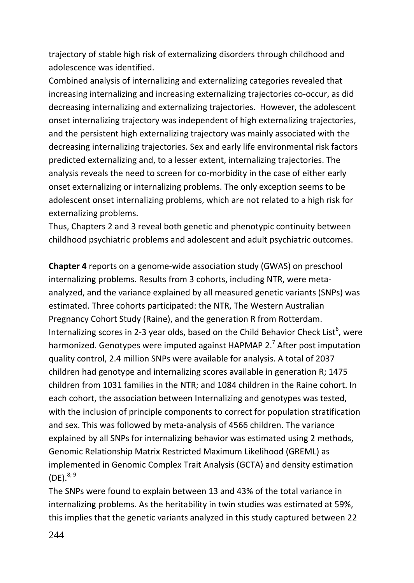trajectory of stable high risk of externalizing disorders through childhood and adolescence was identified.

Combined analysis of internalizing and externalizing categories revealed that increasing internalizing and increasing externalizing trajectories co-occur, as did decreasing internalizing and externalizing trajectories. However, the adolescent onset internalizing trajectory was independent of high externalizing trajectories, and the persistent high externalizing trajectory was mainly associated with the decreasing internalizing trajectories. Sex and early life environmental risk factors predicted externalizing and, to a lesser extent, internalizing trajectories. The analysis reveals the need to screen for co-morbidity in the case of either early onset externalizing or internalizing problems. The only exception seems to be adolescent onset internalizing problems, which are not related to a high risk for externalizing problems.

Thus, Chapters 2 and 3 reveal both genetic and phenotypic continuity between childhood psychiatric problems and adolescent and adult psychiatric outcomes.

**Chapter 4** reports on a genome-wide association study (GWAS) on preschool internalizing problems. Results from 3 cohorts, including NTR, were metaanalyzed, and the variance explained by all measured genetic variants (SNPs) was estimated. Three cohorts participated: the NTR, The Western Australian Pregnancy Cohort Study (Raine), and the generation R from Rotterdam. Internalizing scores in 2-3 year olds, based on the Child Behavior Check List<sup>6</sup>, were harmonized. Genotypes were imputed against HAPMAP 2.<sup>7</sup> After post imputation quality control, 2.4 million SNPs were available for analysis. A total of 2037 children had genotype and internalizing scores available in generation R; 1475 children from 1031 families in the NTR; and 1084 children in the Raine cohort. In each cohort, the association between Internalizing and genotypes was tested, with the inclusion of principle components to correct for population stratification and sex. This was followed by meta-analysis of 4566 children. The variance explained by all SNPs for internalizing behavior was estimated using 2 methods, Genomic Relationship Matrix Restricted Maximum Likelihood (GREML) as implemented in Genomic Complex Trait Analysis (GCTA) and density estimation  $(DE)^{8,9}$ 

The SNPs were found to explain between 13 and 43% of the total variance in internalizing problems. As the heritability in twin studies was estimated at 59%, this implies that the genetic variants analyzed in this study captured between 22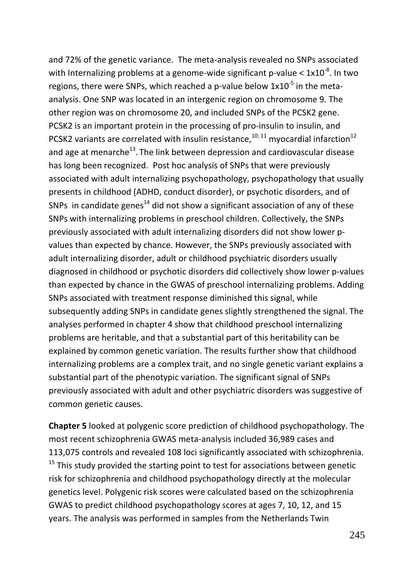and 72% of the genetic variance. The meta-analysis revealed no SNPs associated with Internalizing problems at a genome-wide significant p-value  $< 1x10^{-8}$ . In two regions, there were SNPs, which reached a p-value below  $1x10^{-5}$  in the metaanalysis. One SNP was located in an intergenic region on chromosome 9. The other region was on chromosome 20, and included SNPs of the PCSK2 gene. PCSK2 is an important protein in the processing of pro-insulin to insulin, and PCSK2 variants are correlated with insulin resistance,  $10;11$  myocardial infarction<sup>12</sup> and age at menarche<sup>13</sup>. The link between depression and cardiovascular disease has long been recognized. Post hoc analysis of SNPs that were previously associated with adult internalizing psychopathology, psychopathology that usually presents in childhood (ADHD, conduct disorder), or psychotic disorders, and of SNPs in candidate genes<sup>14</sup> did not show a significant association of any of these SNPs with internalizing problems in preschool children. Collectively, the SNPs previously associated with adult internalizing disorders did not show lower pvalues than expected by chance. However, the SNPs previously associated with adult internalizing disorder, adult or childhood psychiatric disorders usually diagnosed in childhood or psychotic disorders did collectively show lower p-values than expected by chance in the GWAS of preschool internalizing problems. Adding SNPs associated with treatment response diminished this signal, while subsequently adding SNPs in candidate genes slightly strengthened the signal. The analyses performed in chapter 4 show that childhood preschool internalizing problems are heritable, and that a substantial part of this heritability can be explained by common genetic variation. The results further show that childhood internalizing problems are a complex trait, and no single genetic variant explains a substantial part of the phenotypic variation. The significant signal of SNPs previously associated with adult and other psychiatric disorders was suggestive of common genetic causes.

**Chapter 5** looked at polygenic score prediction of childhood psychopathology. The most recent schizophrenia GWAS meta-analysis included 36,989 cases and 113,075 controls and revealed 108 loci significantly associated with schizophrenia.  $15$  This study provided the starting point to test for associations between genetic risk for schizophrenia and childhood psychopathology directly at the molecular genetics level. Polygenic risk scores were calculated based on the schizophrenia GWAS to predict childhood psychopathology scores at ages 7, 10, 12, and 15 years. The analysis was performed in samples from the Netherlands Twin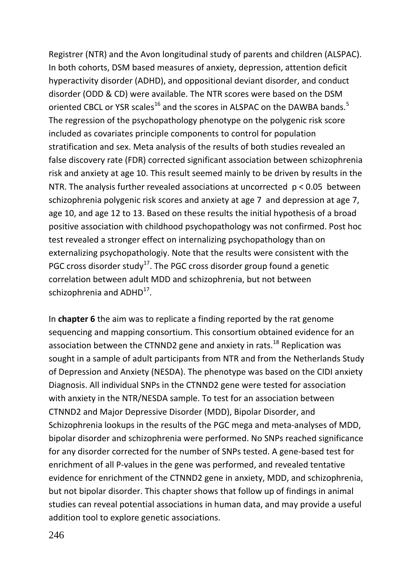Registrer (NTR) and the Avon longitudinal study of parents and children (ALSPAC). In both cohorts, DSM based measures of anxiety, depression, attention deficit hyperactivity disorder (ADHD), and oppositional deviant disorder, and conduct disorder (ODD & CD) were available. The NTR scores were based on the DSM oriented CBCL or YSR scales<sup>16</sup> and the scores in ALSPAC on the DAWBA bands.<sup>5</sup> The regression of the psychopathology phenotype on the polygenic risk score included as covariates principle components to control for population stratification and sex. Meta analysis of the results of both studies revealed an false discovery rate (FDR) corrected significant association between schizophrenia risk and anxiety at age 10. This result seemed mainly to be driven by results in the NTR. The analysis further revealed associations at uncorrected  $p < 0.05$  between schizophrenia polygenic risk scores and anxiety at age 7 and depression at age 7, age 10, and age 12 to 13. Based on these results the initial hypothesis of a broad positive association with childhood psychopathology was not confirmed. Post hoc test revealed a stronger effect on internalizing psychopathology than on externalizing psychopathologiy. Note that the results were consistent with the PGC cross disorder study<sup>17</sup>. The PGC cross disorder group found a genetic correlation between adult MDD and schizophrenia, but not between schizophrenia and ADHD<sup>17</sup>.

In **chapter 6** the aim was to replicate a finding reported by the rat genome sequencing and mapping consortium. This consortium obtained evidence for an association between the CTNND2 gene and anxiety in rats.<sup>18</sup> Replication was sought in a sample of adult participants from NTR and from the Netherlands Study of Depression and Anxiety (NESDA). The phenotype was based on the CIDI anxiety Diagnosis. All individual SNPs in the CTNND2 gene were tested for association with anxiety in the NTR/NESDA sample. To test for an association between CTNND2 and Major Depressive Disorder (MDD), Bipolar Disorder, and Schizophrenia lookups in the results of the PGC mega and meta-analyses of MDD, bipolar disorder and schizophrenia were performed. No SNPs reached significance for any disorder corrected for the number of SNPs tested. A gene-based test for enrichment of all P-values in the gene was performed, and revealed tentative evidence for enrichment of the CTNND2 gene in anxiety, MDD, and schizophrenia, but not bipolar disorder. This chapter shows that follow up of findings in animal studies can reveal potential associations in human data, and may provide a useful addition tool to explore genetic associations.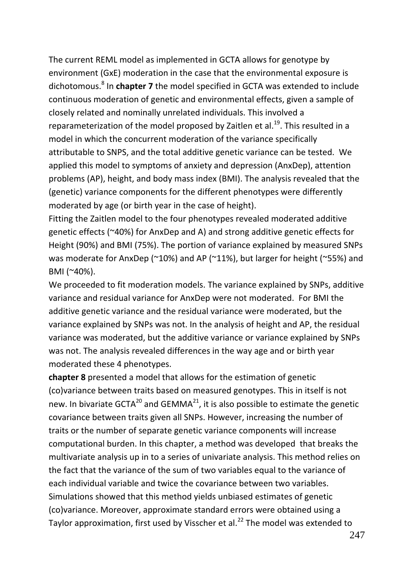The current REML model as implemented in GCTA allows for genotype by environment (GxE) moderation in the case that the environmental exposure is dichotomous.<sup>8</sup> In **chapter 7** the model specified in GCTA was extended to include continuous moderation of genetic and environmental effects, given a sample of closely related and nominally unrelated individuals. This involved a reparameterization of the model proposed by Zaitlen et al.<sup>19</sup>. This resulted in a model in which the concurrent moderation of the variance specifically attributable to SNPS, and the total additive genetic variance can be tested. We applied this model to symptoms of anxiety and depression (AnxDep), attention problems (AP), height, and body mass index (BMI). The analysis revealed that the (genetic) variance components for the different phenotypes were differently moderated by age (or birth year in the case of height).

Fitting the Zaitlen model to the four phenotypes revealed moderated additive genetic effects (~40%) for AnxDep and A) and strong additive genetic effects for Height (90%) and BMI (75%). The portion of variance explained by measured SNPs was moderate for AnxDep (~10%) and AP (~11%), but larger for height (~55%) and BMI (~40%).

We proceeded to fit moderation models. The variance explained by SNPs, additive variance and residual variance for AnxDep were not moderated. For BMI the additive genetic variance and the residual variance were moderated, but the variance explained by SNPs was not. In the analysis of height and AP, the residual variance was moderated, but the additive variance or variance explained by SNPs was not. The analysis revealed differences in the way age and or birth year moderated these 4 phenotypes.

**chapter 8** presented a model that allows for the estimation of genetic (co)variance between traits based on measured genotypes. This in itself is not new. In bivariate GCTA<sup>20</sup> and GEMMA<sup>21</sup>, it is also possible to estimate the genetic covariance between traits given all SNPs. However, increasing the number of traits or the number of separate genetic variance components will increase computational burden. In this chapter, a method was developed that breaks the multivariate analysis up in to a series of univariate analysis. This method relies on the fact that the variance of the sum of two variables equal to the variance of each individual variable and twice the covariance between two variables. Simulations showed that this method yields unbiased estimates of genetic (co)variance. Moreover, approximate standard errors were obtained using a Taylor approximation, first used by Visscher et al. $^{22}$  The model was extended to

247